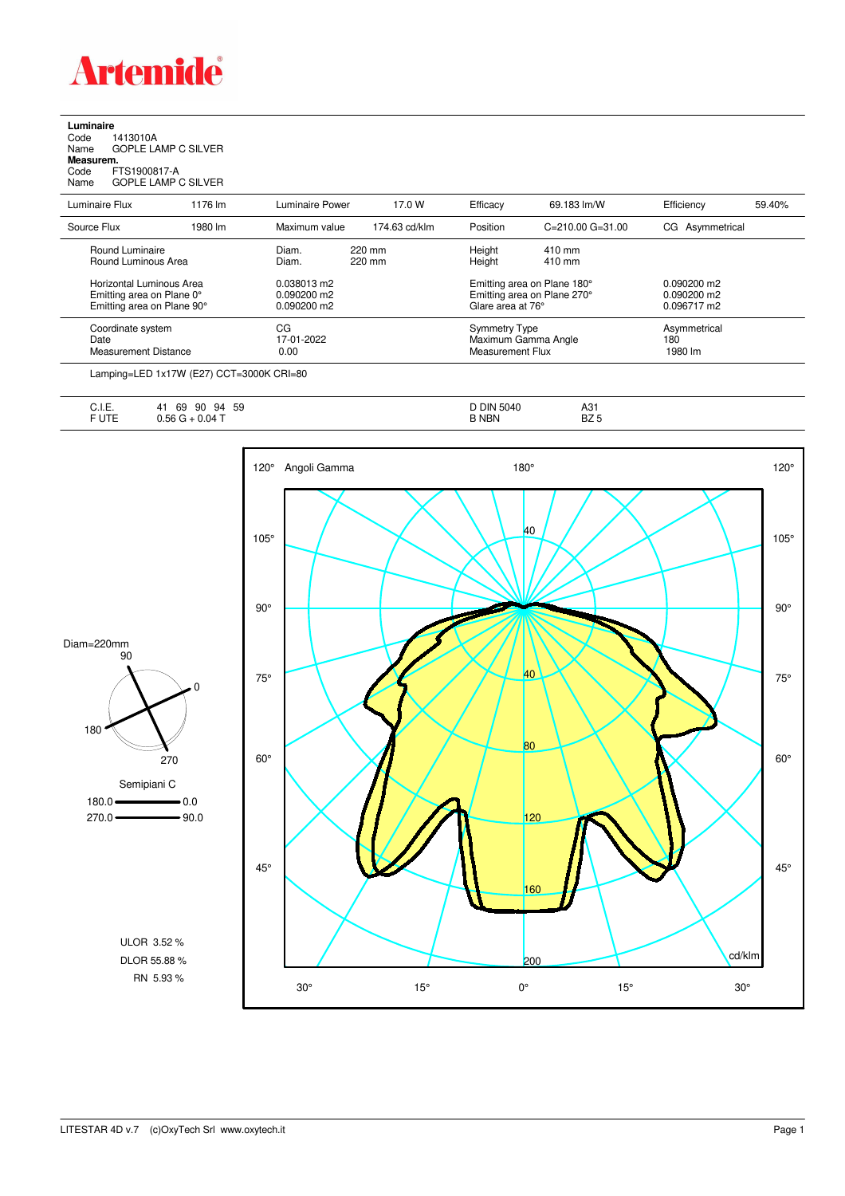

**Luminaire**<br>Code 1<br>Name ( Code 1413010A Name GOPLE LAMP C SILVER **Measurem.**

Code FTS1900817-A Name GOPLE LAMP C SILVER

| Luminaire Flux                                                                      | 1176 lm | Luminaire Power                             | 17.0 W           | Efficacy                                        | 69.183 lm/W                                                | Efficiency                                    | 59.40% |
|-------------------------------------------------------------------------------------|---------|---------------------------------------------|------------------|-------------------------------------------------|------------------------------------------------------------|-----------------------------------------------|--------|
| Source Flux                                                                         | 1980 lm | Maximum value                               | 174.63 cd/klm    | Position                                        | $C = 210.00$ $G = 31.00$                                   | CG Asymmetrical                               |        |
| Round Luminaire<br>Round Luminous Area                                              |         | Diam.<br>Diam.                              | 220 mm<br>220 mm | Height<br>Height                                | $410 \text{ mm}$<br>410 mm                                 |                                               |        |
| Horizontal Luminous Area<br>Emitting area on Plane 0°<br>Emitting area on Plane 90° |         | 0.038013 m2<br>0.090200 m2<br>$0.090200$ m2 |                  | Glare area at 76°                               | Emitting area on Plane 180°<br>Emitting area on Plane 270° | $0.090200$ m2<br>$0.090200$ m2<br>0.096717 m2 |        |
| Coordinate system<br>Date<br><b>Measurement Distance</b>                            |         | CG<br>17-01-2022<br>0.00                    |                  | <b>Symmetry Type</b><br><b>Measurement Flux</b> | Maximum Gamma Angle                                        | Asymmetrical<br>180<br>1980 lm                |        |

Lamping=LED 1x17W (E27) CCT=3000K CRI=80

| $\cdot$ $-$<br>--<br>∪. I. ⊏. | 59<br>69<br>90<br>94<br>4 I | DIN<br>5040<br>ີ | $\Lambda$<br>ا ت |
|-------------------------------|-----------------------------|------------------|------------------|
| $-1 - - -$<br>- - 1           | ل 04. $\tau$<br>nh          | <b>NBN</b>       | DZ<br>BZ 5       |